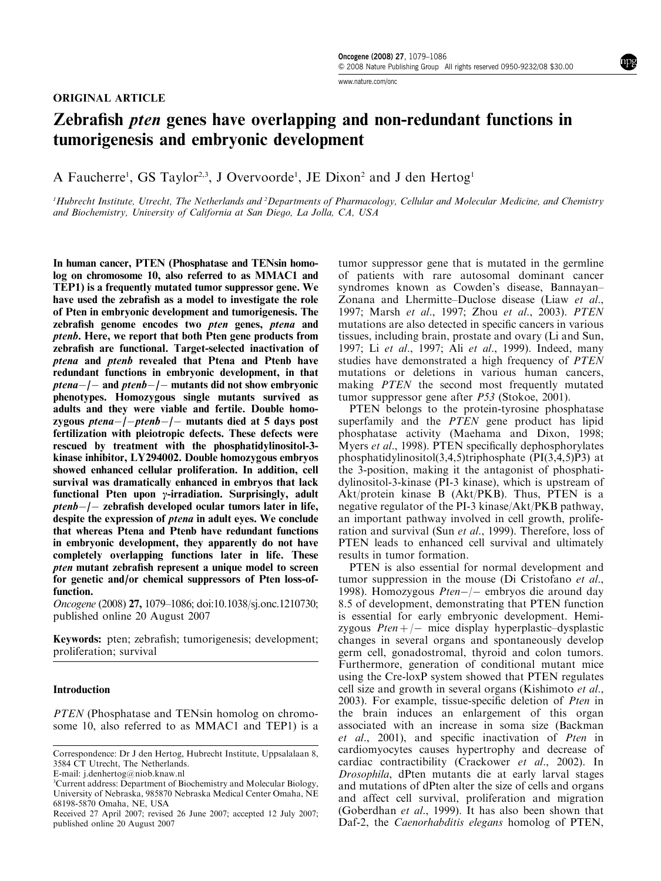# ORIGINAL ARTICLE

www.nature.com/onc

# Zebrafish pten genes have overlapping and non-redundant functions in tumorigenesis and embryonic development

A Faucherre<sup>1</sup>, GS Taylor<sup>2,3</sup>, J Overvoorde<sup>1</sup>, JE Dixon<sup>2</sup> and J den Hertog<sup>1</sup>

<sup>1</sup>Hubrecht Institute, Utrecht, The Netherlands and <sup>2</sup>Departments of Pharmacology, Cellular and Molecular Medicine, and Chemistry and Biochemistry, University of California at San Diego, La Jolla, CA, USA

In human cancer, PTEN (Phosphatase and TENsin homolog on chromosome 10, also referred to as MMAC1 and TEP1) is a frequently mutated tumor suppressor gene. We have used the zebrafish as a model to investigate the role of Pten in embryonic development and tumorigenesis. The zebrafish genome encodes two pten genes, ptena and ptenb. Here, we report that both Pten gene products from zebrafish are functional. Target-selected inactivation of ptena and ptenb revealed that Ptena and Ptenb have redundant functions in embryonic development, in that ptena- $/$ - and ptenb- $/$ - mutants did not show embryonic phenotypes. Homozygous single mutants survived as adults and they were viable and fertile. Double homozygous ptena- $|-$ ptenb- $|-$  mutants died at 5 days post fertilization with pleiotropic defects. These defects were rescued by treatment with the phosphatidylinositol-3 kinase inhibitor, LY294002. Double homozygous embryos showed enhanced cellular proliferation. In addition, cell survival was dramatically enhanced in embryos that lack functional Pten upon  $\gamma$ -irradiation. Surprisingly, adult  $ptenb-/-$  zebrafish developed ocular tumors later in life, despite the expression of ptena in adult eyes. We conclude that whereas Ptena and Ptenb have redundant functions in embryonic development, they apparently do not have completely overlapping functions later in life. These pten mutant zebrafish represent a unique model to screen for genetic and/or chemical suppressors of Pten loss-offunction.

Oncogene (2008) 27, 1079–1086; doi:10.1038/sj.onc.1210730; published online 20 August 2007

Keywords: pten; zebrafish; tumorigenesis; development; proliferation; survival

## Introduction

PTEN (Phosphatase and TENsin homolog on chromosome 10, also referred to as MMAC1 and TEP1) is a

E-mail: j.denhertog@niob.knaw.nl

tumor suppressor gene that is mutated in the germline of patients with rare autosomal dominant cancer syndromes known as Cowden's disease, Bannayan– Zonana and Lhermitte–Duclose disease (Liaw et al., 1997; Marsh et al., 1997; Zhou et al., 2003). PTEN mutations are also detected in specific cancers in various tissues, including brain, prostate and ovary (Li and Sun, 1997; Li et al., 1997; Ali et al., 1999). Indeed, many studies have demonstrated a high frequency of PTEN mutations or deletions in various human cancers, making PTEN the second most frequently mutated tumor suppressor gene after P53 (Stokoe, 2001).

PTEN belongs to the protein-tyrosine phosphatase superfamily and the PTEN gene product has lipid phosphatase activity (Maehama and Dixon, 1998; Myers et al., 1998). PTEN specifically dephosphorylates phosphatidylinositol(3,4,5)triphosphate (PI(3,4,5)P3) at the 3-position, making it the antagonist of phosphatidylinositol-3-kinase (PI-3 kinase), which is upstream of Akt/protein kinase B (Akt/PKB). Thus, PTEN is a negative regulator of the PI-3 kinase/Akt/PKB pathway, an important pathway involved in cell growth, proliferation and survival (Sun et al., 1999). Therefore, loss of PTEN leads to enhanced cell survival and ultimately results in tumor formation.

PTEN is also essential for normal development and tumor suppression in the mouse (Di Cristofano et al., 1998). Homozygous  $Pten-/-$  embryos die around day 8.5 of development, demonstrating that PTEN function is essential for early embryonic development. Hemizygous  $Pten + / -$  mice display hyperplastic–dysplastic changes in several organs and spontaneously develop germ cell, gonadostromal, thyroid and colon tumors. Furthermore, generation of conditional mutant mice using the Cre-loxP system showed that PTEN regulates cell size and growth in several organs (Kishimoto et al., 2003). For example, tissue-specific deletion of Pten in the brain induces an enlargement of this organ associated with an increase in soma size (Backman et al., 2001), and specific inactivation of Pten in cardiomyocytes causes hypertrophy and decrease of cardiac contractibility (Crackower et al., 2002). In Drosophila, dPten mutants die at early larval stages and mutations of dPten alter the size of cells and organs and affect cell survival, proliferation and migration (Goberdhan et al., 1999). It has also been shown that Daf-2, the *Caenorhabditis elegans* homolog of PTEN,

Correspondence: Dr J den Hertog, Hubrecht Institute, Uppsalalaan 8, 3584 CT Utrecht, The Netherlands.

<sup>&</sup>lt;sup>3</sup>Current address: Department of Biochemistry and Molecular Biology, University of Nebraska, 985870 Nebraska Medical Center Omaha, NE 68198-5870 Omaha, NE, USA

Received 27 April 2007; revised 26 June 2007; accepted 12 July 2007; published online 20 August 2007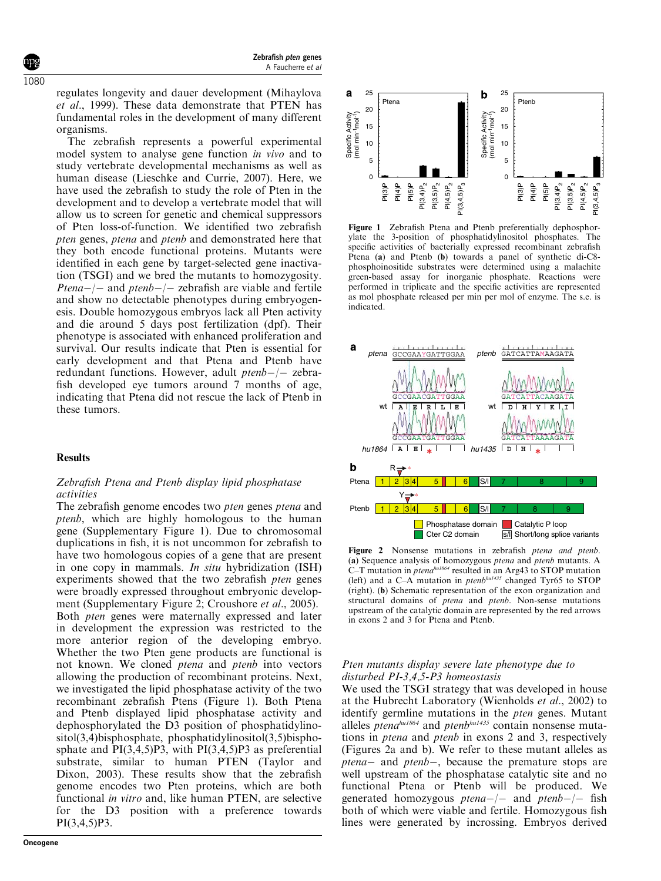Zebrafish pten genes A Faucherre et al

regulates longevity and dauer development (Mihaylova et al., 1999). These data demonstrate that PTEN has fundamental roles in the development of many different organisms.

The zebrafish represents a powerful experimental model system to analyse gene function in vivo and to study vertebrate developmental mechanisms as well as human disease (Lieschke and Currie, 2007). Here, we have used the zebrafish to study the role of Pten in the development and to develop a vertebrate model that will allow us to screen for genetic and chemical suppressors of Pten loss-of-function. We identified two zebrafish pten genes, ptena and ptenb and demonstrated here that they both encode functional proteins. Mutants were identified in each gene by target-selected gene inactivation (TSGI) and we bred the mutants to homozygosity. *Ptena-/-* and *ptenb-/-* zebrafish are viable and fertile and show no detectable phenotypes during embryogenesis. Double homozygous embryos lack all Pten activity and die around 5 days post fertilization (dpf). Their phenotype is associated with enhanced proliferation and survival. Our results indicate that Pten is essential for early development and that Ptena and Ptenb have redundant functions. However, adult  $ptenb-/-$  zebrafish developed eye tumors around 7 months of age, indicating that Ptena did not rescue the lack of Ptenb in these tumors.

## **Results**

# Zebrafish Ptena and Ptenb display lipid phosphatase activities

The zebrafish genome encodes two *pten* genes *ptena* and ptenb, which are highly homologous to the human gene (Supplementary Figure 1). Due to chromosomal duplications in fish, it is not uncommon for zebrafish to have two homologous copies of a gene that are present in one copy in mammals. In situ hybridization (ISH) experiments showed that the two zebrafish pten genes were broadly expressed throughout embryonic development (Supplementary Figure 2; Croushore et al., 2005). Both pten genes were maternally expressed and later in development the expression was restricted to the more anterior region of the developing embryo. Whether the two Pten gene products are functional is not known. We cloned ptena and ptenb into vectors allowing the production of recombinant proteins. Next, we investigated the lipid phosphatase activity of the two recombinant zebrafish Ptens (Figure 1). Both Ptena and Ptenb displayed lipid phosphatase activity and dephosphorylated the D3 position of phosphatidylinositol(3,4)bisphosphate, phosphatidylinositol(3,5)bisphosphate and  $PI(3,4,5)P3$ , with  $PI(3,4,5)P3$  as preferential substrate, similar to human PTEN (Taylor and Dixon, 2003). These results show that the zebrafish genome encodes two Pten proteins, which are both functional in vitro and, like human PTEN, are selective for the D3 position with a preference towards PI(3,4,5)P3.



Figure 1 Zebrafish Ptena and Ptenb preferentially dephosphorylate the 3-position of phosphatidylinositol phosphates. The specific activities of bacterially expressed recombinant zebrafish Ptena (a) and Ptenb (b) towards a panel of synthetic di-C8 phosphoinositide substrates were determined using a malachite green-based assay for inorganic phosphate. Reactions were performed in triplicate and the specific activities are represented as mol phosphate released per min per mol of enzyme. The s.e. is indicated.



Figure 2 Nonsense mutations in zebrafish *ptena and ptenb*. (a) Sequence analysis of homozygous *ptena* and *ptenb* mutants. A  $C-T$  mutation in *ptena<sup>hu1864</sup>* resulted in an Arg43 to STOP mutation (left) and a C–A mutation in  $ptenb^{hul435}$  changed Tyr65 to STOP (right). (b) Schematic representation of the exon organization and structural domains of ptena and ptenb. Non-sense mutations upstream of the catalytic domain are represented by the red arrows in exons 2 and 3 for Ptena and Ptenb.

# Pten mutants display severe late phenotype due to disturbed PI-3,4,5-P3 homeostasis

We used the TSGI strategy that was developed in house at the Hubrecht Laboratory (Wienholds et al., 2002) to identify germline mutations in the pten genes. Mutant alleles *ptena* $h^{ln1864}$  and *ptenb* $h^{ln1435}$  contain nonsense mutations in ptena and ptenb in exons 2 and 3, respectively (Figures 2a and b). We refer to these mutant alleles as ptena- and ptenb-, because the premature stops are well upstream of the phosphatase catalytic site and no functional Ptena or Ptenb will be produced. We generated homozygous ptena-/- and  $ptenb-/-$  fish both of which were viable and fertile. Homozygous fish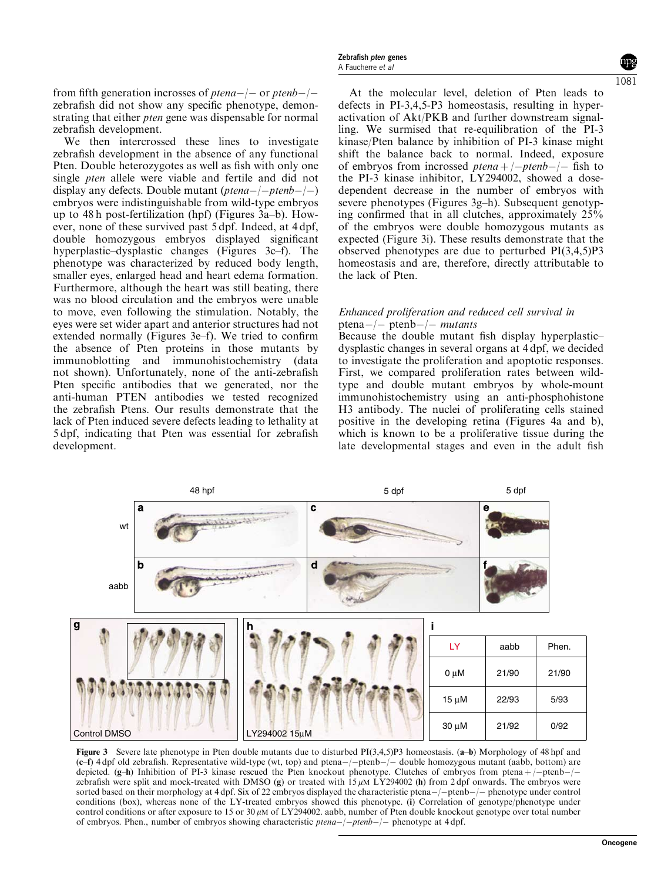from fifth generation incrosses of *ptena*-/- or *ptenb*-/zebrafish did not show any specific phenotype, demonstrating that either *pten* gene was dispensable for normal zebrafish development.

We then intercrossed these lines to investigate zebrafish development in the absence of any functional Pten. Double heterozygotes as well as fish with only one single pten allele were viable and fertile and did not display any defects. Double mutant (*ptena-/-ptenb-/-*) embryos were indistinguishable from wild-type embryos up to 48 h post-fertilization (hpf) (Figures 3a–b). However, none of these survived past 5 dpf. Indeed, at 4 dpf, double homozygous embryos displayed significant hyperplastic–dysplastic changes (Figures 3c–f). The phenotype was characterized by reduced body length, smaller eyes, enlarged head and heart edema formation. Furthermore, although the heart was still beating, there was no blood circulation and the embryos were unable to move, even following the stimulation. Notably, the eyes were set wider apart and anterior structures had not extended normally (Figures 3e–f). We tried to confirm the absence of Pten proteins in those mutants by immunoblotting and immunohistochemistry (data not shown). Unfortunately, none of the anti-zebrafish Pten specific antibodies that we generated, nor the anti-human PTEN antibodies we tested recognized the zebrafish Ptens. Our results demonstrate that the lack of Pten induced severe defects leading to lethality at 5 dpf, indicating that Pten was essential for zebrafish development.

At the molecular level, deletion of Pten leads to defects in PI-3,4,5-P3 homeostasis, resulting in hyperactivation of Akt/PKB and further downstream signalling. We surmised that re-equilibration of the PI-3 kinase/Pten balance by inhibition of PI-3 kinase might shift the balance back to normal. Indeed, exposure of embryos from incrossed *ptena*  $+/-$ *ptenb* - $/-$  fish to the PI-3 kinase inhibitor, LY294002, showed a dosedependent decrease in the number of embryos with severe phenotypes (Figures 3g–h). Subsequent genotyping confirmed that in all clutches, approximately 25% of the embryos were double homozygous mutants as expected (Figure 3i). These results demonstrate that the observed phenotypes are due to perturbed PI(3,4,5)P3 homeostasis and are, therefore, directly attributable to the lack of Pten.

## Enhanced proliferation and reduced cell survival in ptena $-/-$  ptenb $-/-$  mutants

Because the double mutant fish display hyperplastic– dysplastic changes in several organs at 4 dpf, we decided to investigate the proliferation and apoptotic responses. First, we compared proliferation rates between wildtype and double mutant embryos by whole-mount immunohistochemistry using an anti-phosphohistone H3 antibody. The nuclei of proliferating cells stained positive in the developing retina (Figures 4a and b), which is known to be a proliferative tissue during the late developmental stages and even in the adult fish



Figure 3 Severe late phenotype in Pten double mutants due to disturbed  $PI(3,4,5)$ P3 homeostasis. (a–b) Morphology of 48 hpf and  $(c-f)$  4 dpf old zebrafish. Representative wild-type (wt, top) and ptena-/-ptenb-/- double homozygous mutant (aabb, bottom) are depicted.  $(g-h)$  Inhibition of PI-3 kinase rescued the Pten knockout phenotype. Clutches of embryos from ptena  $+/-$ ptenb-/zebrafish were split and mock-treated with DMSO (g) or treated with  $15 \mu$ M LY294002 (h) from 2 dpf onwards. The embryos were sorted based on their morphology at 4 dpf. Six of 22 embryos displayed the characteristic ptena- $/$ -ptenb- $/$ -phenotype under control conditions (box), whereas none of the LY-treated embryos showed this phenotype. (i) Correlation of genotype/phenotype under control conditions or after exposure to 15 or 30  $\mu$ M of LY294002. aabb, number of Pten double knockout genotype over total number of embryos. Phen., number of embryos showing characteristic ptena- $-ptenb$  phenotype at 4 dpf.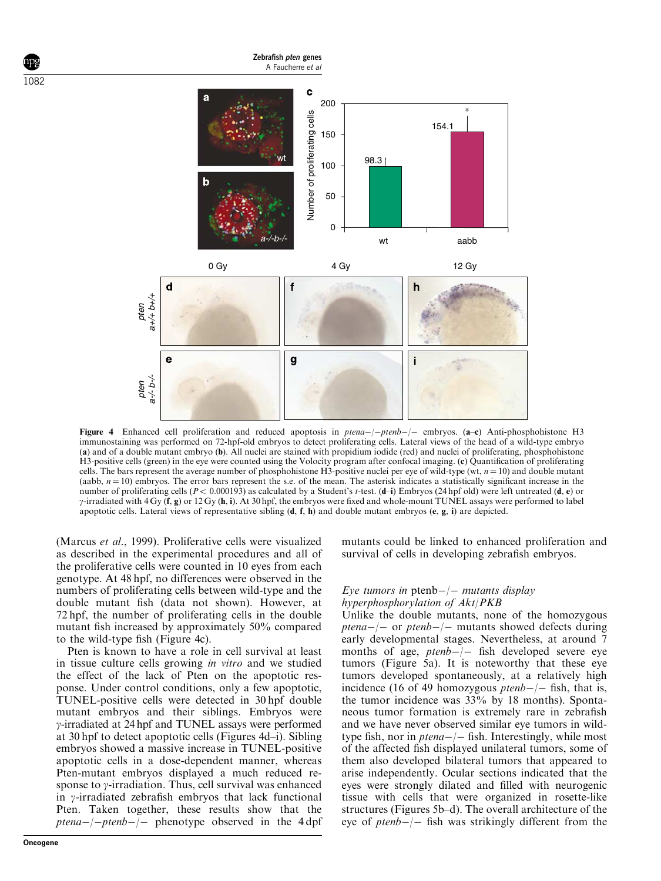

Figure 4 Enhanced cell proliferation and reduced apoptosis in  $ptena$   $-ptenb$   $-1$   $-$  embryos. (a–c) Anti-phosphohistone H3immunostaining was performed on 72-hpf-old embryos to detect proliferating cells. Lateral views of the head of a wild-type embryo (a) and of a double mutant embryo (b). All nuclei are stained with propidium iodide (red) and nuclei of proliferating, phosphohistone H3-positive cells (green) in the eye were counted using the Volocity program after confocal imaging. (c) Quantification of proliferating cells. The bars represent the average number of phosphohistone H3-positive nuclei per eye of wild-type (wt,  $n = 10$ ) and double mutant (aabb,  $n = 10$ ) embryos. The error bars represent the s.e. of the mean. The asterisk indicates a statistically significant increase in the number of proliferating cells  $(P < 0.000193)$  as calculated by a Student's t-test. (d–i) Embryos (24 hpf old) were left untreated (d, e) or  $\gamma$ -irradiated with 4 Gy (f, g) or 12 Gy (h, i). At 30 hpf, the embryos were fixed and whole-mount TUNEL assays were performed to label apoptotic cells. Lateral views of representative sibling  $(d, f, h)$  and double mutant embryos  $(e, g, i)$  are depicted.

(Marcus et al., 1999). Proliferative cells were visualized as described in the experimental procedures and all of the proliferative cells were counted in 10 eyes from each genotype. At 48 hpf, no differences were observed in the numbers of proliferating cells between wild-type and the double mutant fish (data not shown). However, at 72 hpf, the number of proliferating cells in the double mutant fish increased by approximately 50% compared to the wild-type fish (Figure 4c).

Pten is known to have a role in cell survival at least in tissue culture cells growing in vitro and we studied the effect of the lack of Pten on the apoptotic response. Under control conditions, only a few apoptotic, TUNEL-positive cells were detected in 30hpf double mutant embryos and their siblings. Embryos were  $\gamma$ -irradiated at 24 hpf and TUNEL assays were performed at 30hpf to detect apoptotic cells (Figures 4d–i). Sibling embryos showed a massive increase in TUNEL-positive apoptotic cells in a dose-dependent manner, whereas Pten-mutant embryos displayed a much reduced response to  $\gamma$ -irradiation. Thus, cell survival was enhanced in  $\gamma$ -irradiated zebrafish embryos that lack functional Pten. Taken together, these results show that the ptena-/-ptenb-/- phenotype observed in the 4 dpf mutants could be linked to enhanced proliferation and survival of cells in developing zebrafish embryos.

## Eye tumors in ptenb- $/$ - mutants display hyperphosphorylation of Akt/PKB

Unlike the double mutants, none of the homozygous ptena-/- or ptenb-/- mutants showed defects during early developmental stages. Nevertheless, at around 7 months of age,  $ptenb-/-$  fish developed severe eye tumors (Figure 5a). It is noteworthy that these eye tumors developed spontaneously, at a relatively high incidence (16 of 49 homozygous *ptenb-/-* fish, that is, the tumor incidence was 33% by 18 months). Spontaneous tumor formation is extremely rare in zebrafish and we have never observed similar eye tumors in wildtype fish, nor in *ptena*  $-/-$  fish. Interestingly, while most of the affected fish displayed unilateral tumors, some of them also developed bilateral tumors that appeared to arise independently. Ocular sections indicated that the eyes were strongly dilated and filled with neurogenic tissue with cells that were organized in rosette-like structures (Figures 5b–d). The overall architecture of the eye of *ptenb-/-* fish was strikingly different from the

1082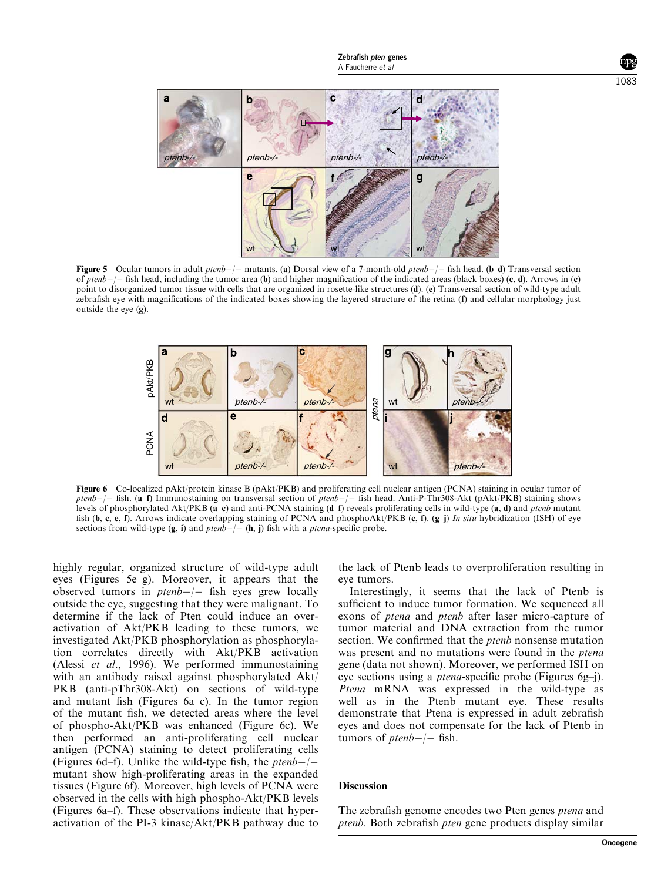

Figure 5 Ocular tumors in adult ptenb- $/$  mutants. (a) Dorsal view of a 7-month-old ptenb- $/$ – fish head. (b–d) Transversal section of ptenb- $/$ - fish head, including the tumor area (b) and higher magnification of the indicated areas (black boxes) (c, d). Arrows in (c) point to disorganized tumor tissue with cells that are organized in rosette-like structures (d). (e) Transversal section of wild-type adult zebrafish eye with magnifications of the indicated boxes showing the layered structure of the retina (f) and cellular morphology just outside the eye  $(g)$ .



Figure 6 Co-localized pAkt/protein kinase B (pAkt/PKB) and proliferating cell nuclear antigen (PCNA) staining in ocular tumor of ptenb- $/$ – fish. (a–f) Immunostaining on transversal section of ptenb- $/$ – fish head. Anti-P-Thr308-Akt (pAkt/PKB) staining shows levels of phosphorylated Akt/PKB  $(a-c)$  and anti-PCNA staining  $(d-f)$  reveals proliferating cells in wild-type  $(a, d)$  and *ptenb* mutant fish (b, c, e, f). Arrows indicate overlapping staining of PCNA and phosphoAkt/PKB (c, f). ( $g$ –j) In situ hybridization (ISH) of eye sections from wild-type  $(g, i)$  and  $pten\bar{b}$  (h, j) fish with a ptena-specific probe.

highly regular, organized structure of wild-type adult eyes (Figures 5e–g). Moreover, it appears that the observed tumors in  $ptenb-/-$  fish eyes grew locally outside the eye, suggesting that they were malignant. To determine if the lack of Pten could induce an overactivation of Akt/PKB leading to these tumors, we investigated Akt/PKB phosphorylation as phosphorylation correlates directly with Akt/PKB activation (Alessi et al., 1996). We performed immunostaining with an antibody raised against phosphorylated Akt/ PKB (anti-pThr308-Akt) on sections of wild-type and mutant fish (Figures 6a–c). In the tumor region of the mutant fish, we detected areas where the level of phospho-Akt/PKB was enhanced (Figure 6c). We then performed an anti-proliferating cell nuclear antigen (PCNA) staining to detect proliferating cells (Figures 6d–f). Unlike the wild-type fish, the *ptenb-/*mutant show high-proliferating areas in the expanded tissues (Figure 6f). Moreover, high levels of PCNA were observed in the cells with high phospho-Akt/PKB levels (Figures 6a–f). These observations indicate that hyperactivation of the PI-3 kinase/Akt/PKB pathway due to

the lack of Ptenb leads to overproliferation resulting in eye tumors.

Interestingly, it seems that the lack of Ptenb is sufficient to induce tumor formation. We sequenced all exons of *ptena* and *ptenb* after laser micro-capture of tumor material and DNA extraction from the tumor section. We confirmed that the *ptenb* nonsense mutation was present and no mutations were found in the *ptena* gene (data not shown). Moreover, we performed ISH on eye sections using a *ptena*-specific probe (Figures 6g–j). Ptena mRNA was expressed in the wild-type as well as in the Ptenb mutant eye. These results demonstrate that Ptena is expressed in adult zebrafish eyes and does not compensate for the lack of Ptenb in tumors of *ptenb*  $-/-$  fish.

## **Discussion**

The zebrafish genome encodes two Pten genes ptena and ptenb. Both zebrafish pten gene products display similar 1083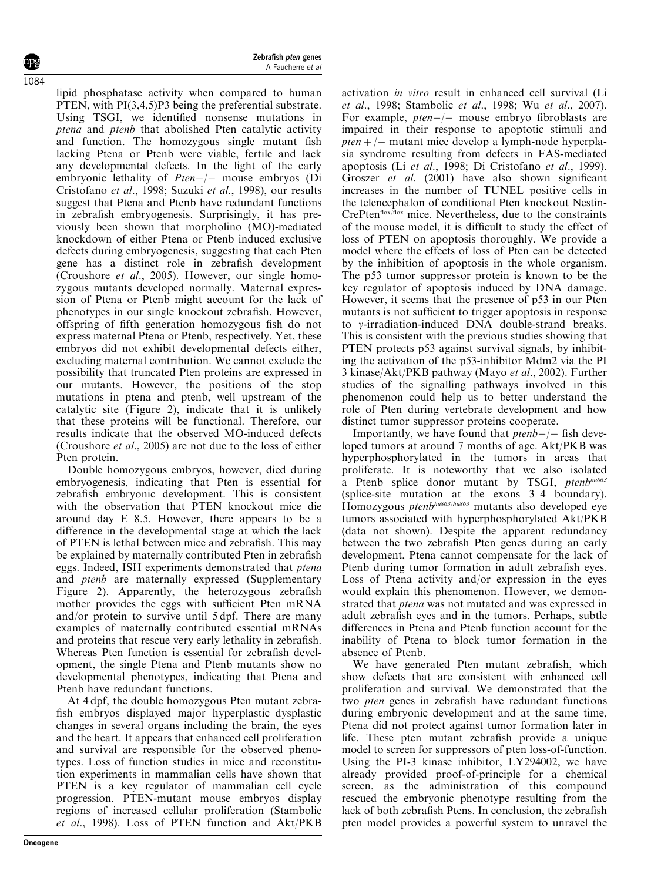lipid phosphatase activity when compared to human PTEN, with PI(3,4,5)P3 being the preferential substrate. Using TSGI, we identified nonsense mutations in ptena and ptenb that abolished Pten catalytic activity and function. The homozygous single mutant fish lacking Ptena or Ptenb were viable, fertile and lack any developmental defects. In the light of the early embryonic lethality of  $Pten-/-$  mouse embryos (Di Cristofano et al., 1998; Suzuki et al., 1998), our results suggest that Ptena and Ptenb have redundant functions in zebrafish embryogenesis. Surprisingly, it has previously been shown that morpholino (MO)-mediated knockdown of either Ptena or Ptenb induced exclusive defects during embryogenesis, suggesting that each Pten gene has a distinct role in zebrafish development (Croushore et al., 2005). However, our single homozygous mutants developed normally. Maternal expression of Ptena or Ptenb might account for the lack of phenotypes in our single knockout zebrafish. However, offspring of fifth generation homozygous fish do not express maternal Ptena or Ptenb, respectively. Yet, these embryos did not exhibit developmental defects either, excluding maternal contribution. We cannot exclude the possibility that truncated Pten proteins are expressed in our mutants. However, the positions of the stop mutations in ptena and ptenb, well upstream of the catalytic site (Figure 2), indicate that it is unlikely that these proteins will be functional. Therefore, our results indicate that the observed MO-induced defects (Croushore et al., 2005) are not due to the loss of either Pten protein.

Double homozygous embryos, however, died during embryogenesis, indicating that Pten is essential for zebrafish embryonic development. This is consistent with the observation that PTEN knockout mice die around day E 8.5. However, there appears to be a difference in the developmental stage at which the lack of PTEN is lethal between mice and zebrafish. This may be explained by maternally contributed Pten in zebrafish eggs. Indeed, ISH experiments demonstrated that ptena and ptenb are maternally expressed (Supplementary Figure 2). Apparently, the heterozygous zebrafish mother provides the eggs with sufficient Pten mRNA and/or protein to survive until 5 dpf. There are many examples of maternally contributed essential mRNAs and proteins that rescue very early lethality in zebrafish. Whereas Pten function is essential for zebrafish development, the single Ptena and Ptenb mutants show no developmental phenotypes, indicating that Ptena and Ptenb have redundant functions.

At 4 dpf, the double homozygous Pten mutant zebrafish embryos displayed major hyperplastic–dysplastic changes in several organs including the brain, the eyes and the heart. It appears that enhanced cell proliferation and survival are responsible for the observed phenotypes. Loss of function studies in mice and reconstitution experiments in mammalian cells have shown that PTEN is a key regulator of mammalian cell cycle progression. PTEN-mutant mouse embryos display regions of increased cellular proliferation (Stambolic et al., 1998). Loss of PTEN function and Akt/PKB activation in vitro result in enhanced cell survival (Li et al., 1998; Stambolic et al., 1998; Wu et al., 2007). For example,  $pten-/-$  mouse embryo fibroblasts are impaired in their response to apoptotic stimuli and  $pten + / -$  mutant mice develop a lymph-node hyperplasia syndrome resulting from defects in FAS-mediated apoptosis (Li et al., 1998; Di Cristofano et al., 1999). Groszer et al. (2001) have also shown significant increases in the number of TUNEL positive cells in the telencephalon of conditional Pten knockout Nestin- $CrePten<sup>flox/flox</sup> mice. Nevertheless, due to the constraints$ of the mouse model, it is difficult to study the effect of loss of PTEN on apoptosis thoroughly. We provide a model where the effects of loss of Pten can be detected by the inhibition of apoptosis in the whole organism. The p53 tumor suppressor protein is known to be the key regulator of apoptosis induced by DNA damage. However, it seems that the presence of p53 in our Pten mutants is not sufficient to trigger apoptosis in response to  $\gamma$ -irradiation-induced DNA double-strand breaks. This is consistent with the previous studies showing that PTEN protects p53 against survival signals, by inhibiting the activation of the p53-inhibitor Mdm2 via the PI 3 kinase/Akt/PKB pathway (Mayo et al., 2002). Further studies of the signalling pathways involved in this phenomenon could help us to better understand the role of Pten during vertebrate development and how distinct tumor suppressor proteins cooperate.

Importantly, we have found that  $ptenb-/-$  fish developed tumors at around 7 months of age. Akt/PKB was hyperphosphorylated in the tumors in areas that proliferate. It is noteworthy that we also isolated a Ptenb splice donor mutant by TSGI, ptenbhu863 (splice-site mutation at the exons 3–4 boundary). Homozygous *ptenb* $h_{\mu\nu}$ 863/hu863 mutants also developed eye tumors associated with hyperphosphorylated Akt/PKB (data not shown). Despite the apparent redundancy between the two zebrafish Pten genes during an early development, Ptena cannot compensate for the lack of Ptenb during tumor formation in adult zebrafish eyes. Loss of Ptena activity and/or expression in the eyes would explain this phenomenon. However, we demonstrated that *ptena* was not mutated and was expressed in adult zebrafish eyes and in the tumors. Perhaps, subtle differences in Ptena and Ptenb function account for the inability of Ptena to block tumor formation in the absence of Ptenb.

We have generated Pten mutant zebrafish, which show defects that are consistent with enhanced cell proliferation and survival. We demonstrated that the two pten genes in zebrafish have redundant functions during embryonic development and at the same time, Ptena did not protect against tumor formation later in life. These pten mutant zebrafish provide a unique model to screen for suppressors of pten loss-of-function. Using the PI-3 kinase inhibitor, LY294002, we have already provided proof-of-principle for a chemical screen, as the administration of this compound rescued the embryonic phenotype resulting from the lack of both zebrafish Ptens. In conclusion, the zebrafish pten model provides a powerful system to unravel the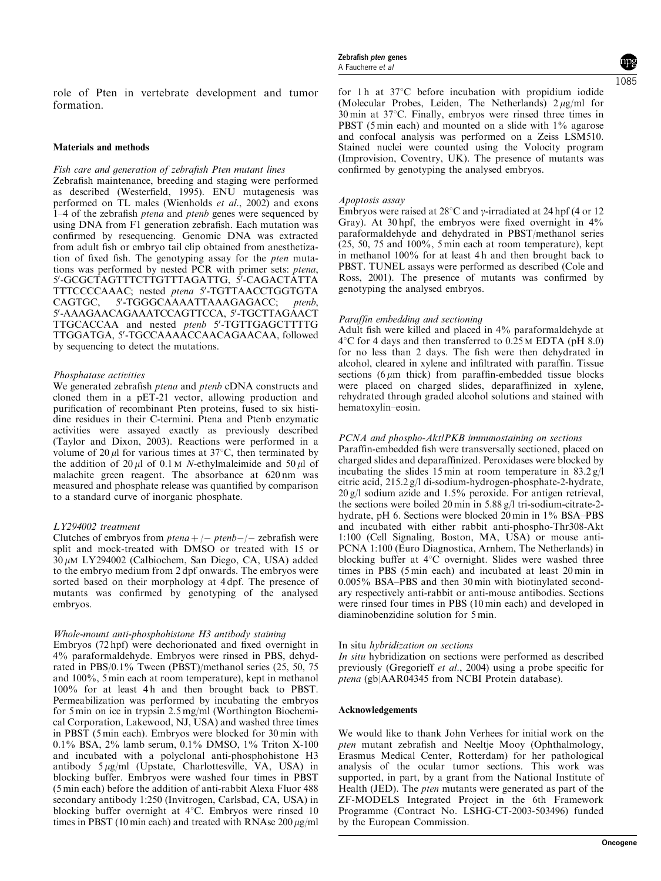role of Pten in vertebrate development and tumor formation.

#### Materials and methods

## Fish care and generation of zebrafish Pten mutant lines

Zebrafish maintenance, breeding and staging were performed as described (Westerfield, 1995). ENU mutagenesis was performed on TL males (Wienholds  $et$  al., 2002) and exons 1–4 of the zebrafish ptena and ptenb genes were sequenced by using DNA from F1 generation zebrafish. Each mutation was confirmed by resequencing. Genomic DNA was extracted from adult fish or embryo tail clip obtained from anesthetization of fixed fish. The genotyping assay for the *pten* mutations was performed by nested PCR with primer sets: ptena, 5'-GCGCTAGTTTCTTGTTTAGATTG, 5'-CAGACTATTA TTTCCCCAAAC; nested ptena 5'-TGTTAACCTGGTGTA CAGTGC. 5'-TGGGCAAAATTAAAGAGACC: ptenb, 5'-AAAGAACAGAAATCCAGTTCCA, 5'-TGCTTAGAACT TTGCACCAA and nested ptenb 5'-TGTTGAGCTTTTG TTGGATGA, 5'-TGCCAAAACCAACAGAACAA, followed by sequencing to detect the mutations.

#### Phosphatase activities

We generated zebrafish *ptena* and *ptenb* cDNA constructs and cloned them in a pET-21 vector, allowing production and purification of recombinant Pten proteins, fused to six histidine residues in their C-termini. Ptena and Ptenb enzymatic activities were assayed exactly as previously described (Taylor and Dixon, 2003). Reactions were performed in a volume of 20  $\mu$ l for various times at 37°C, then terminated by the addition of 20  $\mu$ l of 0.1 M N-ethylmaleimide and 50  $\mu$ l of malachite green reagent. The absorbance at 620nm was measured and phosphate release was quantified by comparison to a standard curve of inorganic phosphate.

#### LY294002 treatment

Clutches of embryos from  $ptena +/- ptenb-/-$  zebrafish were split and mock-treated with DMSO or treated with 15 or  $30 \mu$ M LY294002 (Calbiochem, San Diego, CA, USA) added to the embryo medium from 2 dpf onwards. The embryos were sorted based on their morphology at 4 dpf. The presence of mutants was confirmed by genotyping of the analysed embryos.

#### Whole-mount anti-phosphohistone H3 antibody staining

Embryos (72 hpf) were dechorionated and fixed overnight in 4% paraformaldehyde. Embryos were rinsed in PBS, dehydrated in PBS/0.1% Tween (PBST)/methanol series (25, 50, 75 and 100%, 5 min each at room temperature), kept in methanol 100% for at least 4h and then brought back to PBST. Permeabilization was performed by incubating the embryos for 5 min on ice in trypsin 2.5 mg/ml (Worthington Biochemical Corporation, Lakewood, NJ, USA) and washed three times in PBST (5 min each). Embryos were blocked for 30min with 0.1% BSA, 2% lamb serum, 0.1% DMSO, 1% Triton X-100 and incubated with a polyclonal anti-phosphohistone H3 antibody  $5 \mu g/ml$  (Upstate, Charlottesville, VA, USA) in blocking buffer. Embryos were washed four times in PBST (5 min each) before the addition of anti-rabbit Alexa Fluor 488 secondary antibody 1:250(Invitrogen, Carlsbad, CA, USA) in blocking buffer overnight at  $4^{\circ}$ C. Embryos were rinsed 10 times in PBST (10 min each) and treated with RNAse  $200 \mu g/ml$ 

for 1h at  $37^{\circ}$ C before incubation with propidium iodide (Molecular Probes, Leiden, The Netherlands)  $2 \mu g/ml$  for  $30 \text{ min}$  at  $37^{\circ}$ C. Finally, embryos were rinsed three times in PBST (5 min each) and mounted on a slide with 1% agarose and confocal analysis was performed on a Zeiss LSM510. Stained nuclei were counted using the Volocity program (Improvision, Coventry, UK). The presence of mutants was confirmed by genotyping the analysed embryos.

#### Apoptosis assay

Embryos were raised at  $28^{\circ}$ C and y-irradiated at 24 hpf (4 or 12) Gray). At 30hpf, the embryos were fixed overnight in 4% paraformaldehyde and dehydrated in PBST/methanol series (25, 50, 75 and 100%, 5 min each at room temperature), kept in methanol 100% for at least 4 h and then brought back to PBST. TUNEL assays were performed as described (Cole and Ross, 2001). The presence of mutants was confirmed by genotyping the analysed embryos.

#### Paraffin embedding and sectioning

Adult fish were killed and placed in 4% paraformaldehyde at  $4^{\circ}$ C for 4 days and then transferred to 0.25 M EDTA (pH 8.0) for no less than 2 days. The fish were then dehydrated in alcohol, cleared in xylene and infiltrated with paraffin. Tissue sections ( $6 \mu m$  thick) from paraffin-embedded tissue blocks were placed on charged slides, deparaffinized in xylene, rehydrated through graded alcohol solutions and stained with hematoxylin–eosin.

## PCNA and phospho-Akt/PKB immunostaining on sections

Paraffin-embedded fish were transversally sectioned, placed on charged slides and deparaffinized. Peroxidases were blocked by incubating the slides 15 min at room temperature in  $83.2$  g/l citric acid, 215.2 g/l di-sodium-hydrogen-phosphate-2-hydrate, 20g/l sodium azide and 1.5% peroxide. For antigen retrieval, the sections were boiled 20min in 5.88 g/l tri-sodium-citrate-2 hydrate, pH 6. Sections were blocked 20min in 1% BSA–PBS and incubated with either rabbit anti-phospho-Thr308-Akt 1:100 (Cell Signaling, Boston, MA, USA) or mouse anti-PCNA 1:100 (Euro Diagnostica, Arnhem, The Netherlands) in blocking buffer at  $4^{\circ}$ C overnight. Slides were washed three times in PBS (5 min each) and incubated at least 20min in 0.005% BSA–PBS and then 30 min with biotinylated secondary respectively anti-rabbit or anti-mouse antibodies. Sections were rinsed four times in PBS (10min each) and developed in diaminobenzidine solution for 5 min.

#### In situ hybridization on sections

In situ hybridization on sections were performed as described previously (Gregorieff et al., 2004) using a probe specific for ptena (gb|AAR04345 from NCBI Protein database).

## Acknowledgements

We would like to thank John Verhees for initial work on the pten mutant zebrafish and Neeltje Mooy (Ophthalmology, Erasmus Medical Center, Rotterdam) for her pathological analysis of the ocular tumor sections. This work was supported, in part, by a grant from the National Institute of Health (JED). The pten mutants were generated as part of the ZF-MODELS Integrated Project in the 6th Framework Programme (Contract No. LSHG-CT-2003-503496) funded by the European Commission.